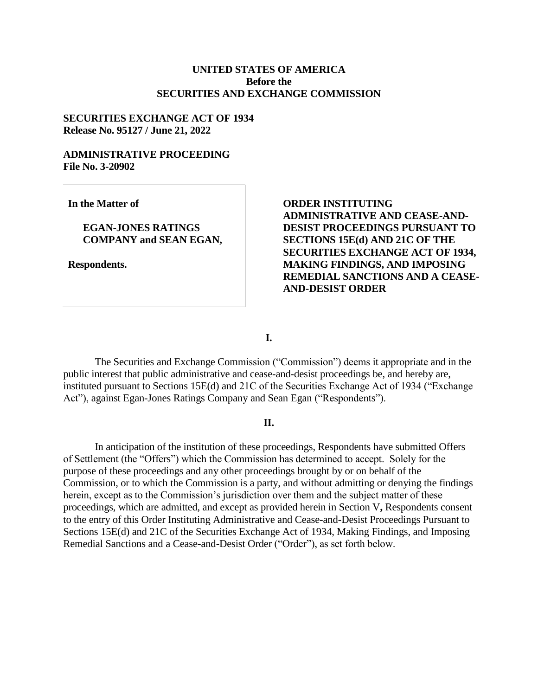## **UNITED STATES OF AMERICA Before the SECURITIES AND EXCHANGE COMMISSION**

### **SECURITIES EXCHANGE ACT OF 1934 Release No. 95127 / June 21, 2022**

### **ADMINISTRATIVE PROCEEDING File No. 3-20902**

**In the Matter of**

## **EGAN-JONES RATINGS COMPANY and SEAN EGAN,**

**Respondents.**

# **ORDER INSTITUTING ADMINISTRATIVE AND CEASE-AND-DESIST PROCEEDINGS PURSUANT TO SECTIONS 15E(d) AND 21C OF THE SECURITIES EXCHANGE ACT OF 1934, MAKING FINDINGS, AND IMPOSING REMEDIAL SANCTIONS AND A CEASE-AND-DESIST ORDER**

**I.**

The Securities and Exchange Commission ("Commission") deems it appropriate and in the public interest that public administrative and cease-and-desist proceedings be, and hereby are, instituted pursuant to Sections 15E(d) and 21C of the Securities Exchange Act of 1934 ("Exchange Act"), against Egan-Jones Ratings Company and Sean Egan ("Respondents").

#### **II.**

In anticipation of the institution of these proceedings, Respondents have submitted Offers of Settlement (the "Offers") which the Commission has determined to accept. Solely for the purpose of these proceedings and any other proceedings brought by or on behalf of the Commission, or to which the Commission is a party, and without admitting or denying the findings herein, except as to the Commission's jurisdiction over them and the subject matter of these proceedings, which are admitted, and except as provided herein in Section V**,** Respondents consent to the entry of this Order Instituting Administrative and Cease-and-Desist Proceedings Pursuant to Sections 15E(d) and 21C of the Securities Exchange Act of 1934, Making Findings, and Imposing Remedial Sanctions and a Cease-and-Desist Order ("Order"), as set forth below.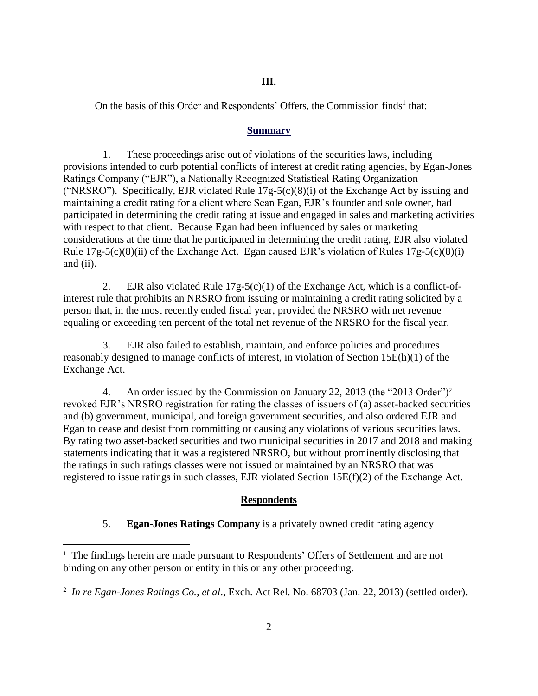### **III.**

On the basis of this Order and Respondents' Offers, the Commission finds<sup>1</sup> that:

### **Summary**

1. These proceedings arise out of violations of the securities laws, including provisions intended to curb potential conflicts of interest at credit rating agencies, by Egan-Jones Ratings Company ("EJR"), a Nationally Recognized Statistical Rating Organization ("NRSRO"). Specifically, EJR violated Rule  $17g-5(c)(8)(i)$  of the Exchange Act by issuing and maintaining a credit rating for a client where Sean Egan, EJR's founder and sole owner, had participated in determining the credit rating at issue and engaged in sales and marketing activities with respect to that client. Because Egan had been influenced by sales or marketing considerations at the time that he participated in determining the credit rating, EJR also violated Rule  $17g-5(c)(8)(ii)$  of the Exchange Act. Egan caused EJR's violation of Rules  $17g-5(c)(8)(i)$ and (ii).

2. EJR also violated Rule 17g-5(c)(1) of the Exchange Act, which is a conflict-ofinterest rule that prohibits an NRSRO from issuing or maintaining a credit rating solicited by a person that, in the most recently ended fiscal year, provided the NRSRO with net revenue equaling or exceeding ten percent of the total net revenue of the NRSRO for the fiscal year.

3. EJR also failed to establish, maintain, and enforce policies and procedures reasonably designed to manage conflicts of interest, in violation of Section 15E(h)(1) of the Exchange Act.

4. An order issued by the Commission on January 22, 2013 (the "2013 Order")<sup>2</sup> revoked EJR's NRSRO registration for rating the classes of issuers of (a) asset-backed securities and (b) government, municipal, and foreign government securities, and also ordered EJR and Egan to cease and desist from committing or causing any violations of various securities laws. By rating two asset-backed securities and two municipal securities in 2017 and 2018 and making statements indicating that it was a registered NRSRO, but without prominently disclosing that the ratings in such ratings classes were not issued or maintained by an NRSRO that was registered to issue ratings in such classes, EJR violated Section 15E(f)(2) of the Exchange Act.

## **Respondents**

5. **Egan-Jones Ratings Company** is a privately owned credit rating agency

 $\overline{a}$ 

<sup>&</sup>lt;sup>1</sup> The findings herein are made pursuant to Respondents' Offers of Settlement and are not binding on any other person or entity in this or any other proceeding.

<sup>2</sup>  *In re Egan-Jones Ratings Co., et al*., Exch. Act Rel. No. 68703 (Jan. 22, 2013) (settled order).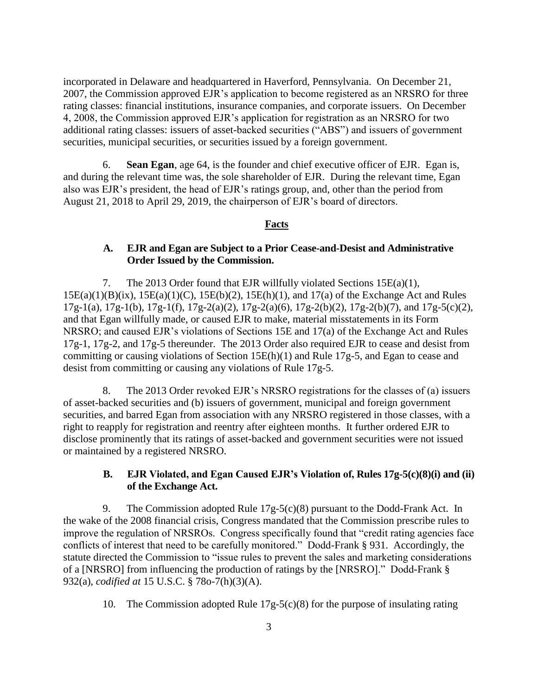incorporated in Delaware and headquartered in Haverford, Pennsylvania. On December 21, 2007, the Commission approved EJR's application to become registered as an NRSRO for three rating classes: financial institutions, insurance companies, and corporate issuers. On December 4, 2008, the Commission approved EJR's application for registration as an NRSRO for two additional rating classes: issuers of asset-backed securities ("ABS") and issuers of government securities, municipal securities, or securities issued by a foreign government.

6. **Sean Egan**, age 64, is the founder and chief executive officer of EJR. Egan is, and during the relevant time was, the sole shareholder of EJR. During the relevant time, Egan also was EJR's president, the head of EJR's ratings group, and, other than the period from August 21, 2018 to April 29, 2019, the chairperson of EJR's board of directors.

### **Facts**

## **A. EJR and Egan are Subject to a Prior Cease-and-Desist and Administrative Order Issued by the Commission.**

7. The 2013 Order found that EJR willfully violated Sections  $15E(a)(1)$ ,  $15E(a)(1)(B)(ix)$ ,  $15E(a)(1)(C)$ ,  $15E(b)(2)$ ,  $15E(h)(1)$ , and  $17(a)$  of the Exchange Act and Rules 17g-1(a), 17g-1(b), 17g-1(f), 17g-2(a)(2), 17g-2(a)(6), 17g-2(b)(2), 17g-2(b)(7), and 17g-5(c)(2), and that Egan willfully made, or caused EJR to make, material misstatements in its Form NRSRO; and caused EJR's violations of Sections 15E and 17(a) of the Exchange Act and Rules 17g-1, 17g-2, and 17g-5 thereunder. The 2013 Order also required EJR to cease and desist from committing or causing violations of Section 15E(h)(1) and Rule 17g-5, and Egan to cease and desist from committing or causing any violations of Rule 17g-5.

8. The 2013 Order revoked EJR's NRSRO registrations for the classes of (a) issuers of asset-backed securities and (b) issuers of government, municipal and foreign government securities, and barred Egan from association with any NRSRO registered in those classes, with a right to reapply for registration and reentry after eighteen months. It further ordered EJR to disclose prominently that its ratings of asset-backed and government securities were not issued or maintained by a registered NRSRO.

## **B. EJR Violated, and Egan Caused EJR's Violation of, Rules 17g-5(c)(8)(i) and (ii) of the Exchange Act.**

9. The Commission adopted Rule 17g-5(c)(8) pursuant to the Dodd-Frank Act. In the wake of the 2008 financial crisis, Congress mandated that the Commission prescribe rules to improve the regulation of NRSROs. Congress specifically found that "credit rating agencies face conflicts of interest that need to be carefully monitored." Dodd-Frank § 931. Accordingly, the statute directed the Commission to "issue rules to prevent the sales and marketing considerations of a [NRSRO] from influencing the production of ratings by the [NRSRO]." Dodd-Frank § 932(a), *codified at* 15 U.S.C. § 78o-7(h)(3)(A).

10. The Commission adopted Rule  $17g-5(c)(8)$  for the purpose of insulating rating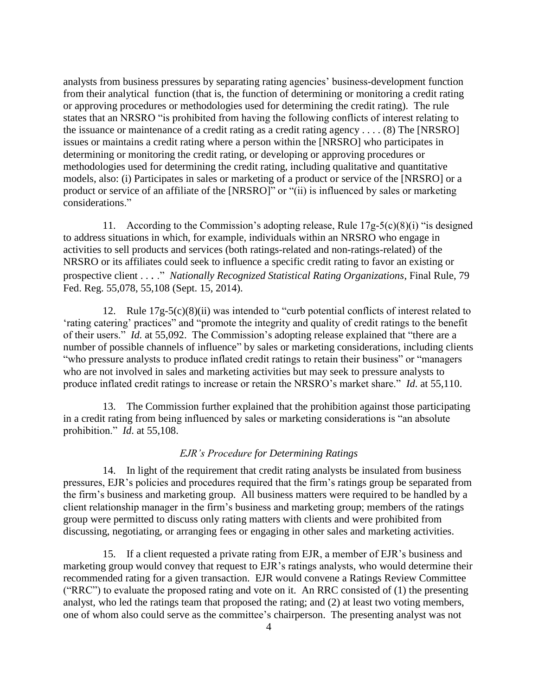analysts from business pressures by separating rating agencies' business-development function from their analytical function (that is, the function of determining or monitoring a credit rating or approving procedures or methodologies used for determining the credit rating). The rule states that an NRSRO "is prohibited from having the following conflicts of interest relating to the issuance or maintenance of a credit rating as a credit rating agency . . . . (8) The [NRSRO] issues or maintains a credit rating where a person within the [NRSRO] who participates in determining or monitoring the credit rating, or developing or approving procedures or methodologies used for determining the credit rating, including qualitative and quantitative models, also: (i) Participates in sales or marketing of a product or service of the [NRSRO] or a product or service of an affiliate of the [NRSRO]" or "(ii) is influenced by sales or marketing considerations."

11. According to the Commission's adopting release, Rule 17g-5(c)(8)(i) "is designed to address situations in which, for example, individuals within an NRSRO who engage in activities to sell products and services (both ratings-related and non-ratings-related) of the NRSRO or its affiliates could seek to influence a specific credit rating to favor an existing or prospective client . . . ." *Nationally Recognized Statistical Rating Organizations*, Final Rule, 79 Fed. Reg. 55,078, 55,108 (Sept. 15, 2014).

12. Rule 17g-5(c)(8)(ii) was intended to "curb potential conflicts of interest related to 'rating catering' practices" and "promote the integrity and quality of credit ratings to the benefit of their users." *Id.* at 55,092. The Commission's adopting release explained that "there are a number of possible channels of influence" by sales or marketing considerations, including clients "who pressure analysts to produce inflated credit ratings to retain their business" or "managers who are not involved in sales and marketing activities but may seek to pressure analysts to produce inflated credit ratings to increase or retain the NRSRO's market share." *Id*. at 55,110.

13. The Commission further explained that the prohibition against those participating in a credit rating from being influenced by sales or marketing considerations is "an absolute prohibition." *Id*. at 55,108.

### *EJR's Procedure for Determining Ratings*

14. In light of the requirement that credit rating analysts be insulated from business pressures, EJR's policies and procedures required that the firm's ratings group be separated from the firm's business and marketing group. All business matters were required to be handled by a client relationship manager in the firm's business and marketing group; members of the ratings group were permitted to discuss only rating matters with clients and were prohibited from discussing, negotiating, or arranging fees or engaging in other sales and marketing activities.

15. If a client requested a private rating from EJR, a member of EJR's business and marketing group would convey that request to EJR's ratings analysts, who would determine their recommended rating for a given transaction. EJR would convene a Ratings Review Committee ("RRC") to evaluate the proposed rating and vote on it. An RRC consisted of  $(1)$  the presenting analyst, who led the ratings team that proposed the rating; and (2) at least two voting members, one of whom also could serve as the committee's chairperson. The presenting analyst was not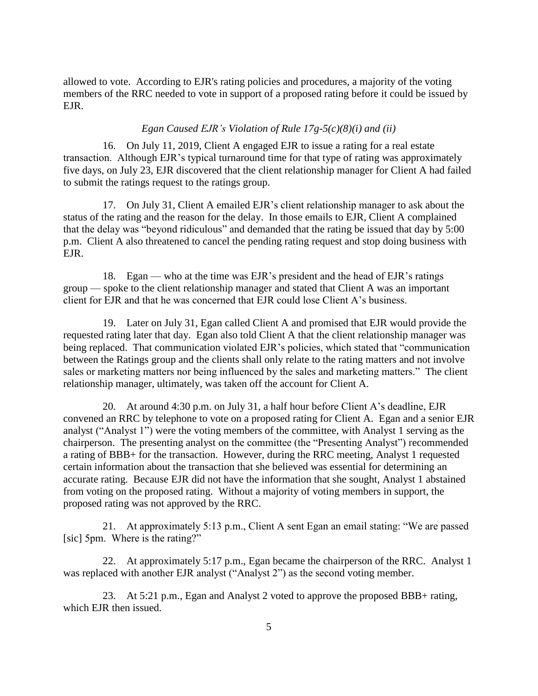allowed to vote. According to EJR's rating policies and procedures, a majority of the voting members of the RRC needed to vote in support of a proposed rating before it could be issued by EJR.

#### *Egan Caused EJR's Violation of Rule 17g-5(c)(8)(i) and (ii)*

16. On July 11, 2019, Client A engaged EJR to issue a rating for a real estate transaction. Although EJR's typical turnaround time for that type of rating was approximately five days, on July 23, EJR discovered that the client relationship manager for Client A had failed to submit the ratings request to the ratings group.

17. On July 31, Client A emailed EJR's client relationship manager to ask about the status of the rating and the reason for the delay. In those emails to EJR, Client A complained that the delay was "beyond ridiculous" and demanded that the rating be issued that day by 5:00 p.m. Client A also threatened to cancel the pending rating request and stop doing business with EJR.

18. Egan — who at the time was EJR's president and the head of EJR's ratings group — spoke to the client relationship manager and stated that Client A was an important client for EJR and that he was concerned that EJR could lose Client A's business.

19. Later on July 31, Egan called Client A and promised that EJR would provide the requested rating later that day. Egan also told Client A that the client relationship manager was being replaced. That communication violated EJR's policies, which stated that "communication between the Ratings group and the clients shall only relate to the rating matters and not involve sales or marketing matters nor being influenced by the sales and marketing matters." The client relationship manager, ultimately, was taken off the account for Client A.

20. At around 4:30 p.m. on July 31, a half hour before Client A's deadline, EJR convened an RRC by telephone to vote on a proposed rating for Client A. Egan and a senior EJR analyst ("Analyst 1") were the voting members of the committee, with Analyst 1 serving as the chairperson. The presenting analyst on the committee (the "Presenting Analyst") recommended a rating of BBB+ for the transaction. However, during the RRC meeting, Analyst 1 requested certain information about the transaction that she believed was essential for determining an accurate rating. Because EJR did not have the information that she sought, Analyst 1 abstained from voting on the proposed rating. Without a majority of voting members in support, the proposed rating was not approved by the RRC.

21. At approximately 5:13 p.m., Client A sent Egan an email stating: "We are passed [sic] 5pm. Where is the rating?"

22. At approximately 5:17 p.m., Egan became the chairperson of the RRC. Analyst 1 was replaced with another EJR analyst ("Analyst 2") as the second voting member.

23. At 5:21 p.m., Egan and Analyst 2 voted to approve the proposed BBB+ rating, which EJR then issued.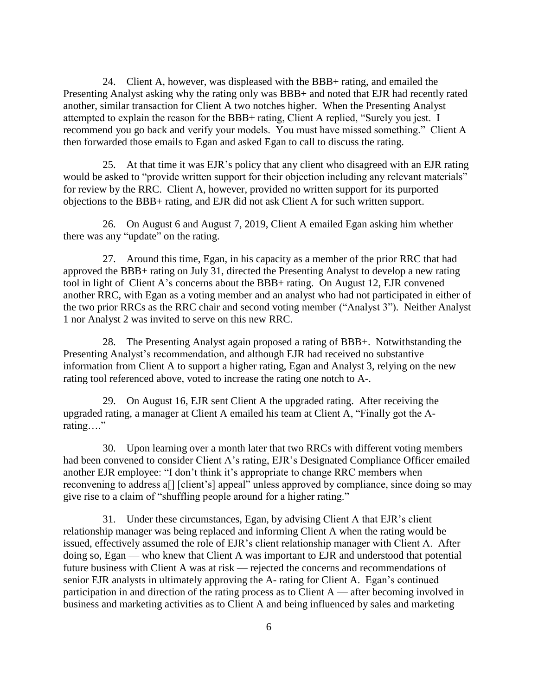24. Client A, however, was displeased with the BBB+ rating, and emailed the Presenting Analyst asking why the rating only was BBB+ and noted that EJR had recently rated another, similar transaction for Client A two notches higher. When the Presenting Analyst attempted to explain the reason for the BBB+ rating, Client A replied, "Surely you jest. I recommend you go back and verify your models. You must have missed something." Client A then forwarded those emails to Egan and asked Egan to call to discuss the rating.

25. At that time it was EJR's policy that any client who disagreed with an EJR rating would be asked to "provide written support for their objection including any relevant materials" for review by the RRC. Client A, however, provided no written support for its purported objections to the BBB+ rating, and EJR did not ask Client A for such written support.

26. On August 6 and August 7, 2019, Client A emailed Egan asking him whether there was any "update" on the rating.

27. Around this time, Egan, in his capacity as a member of the prior RRC that had approved the BBB+ rating on July 31, directed the Presenting Analyst to develop a new rating tool in light of Client A's concerns about the BBB+ rating. On August 12, EJR convened another RRC, with Egan as a voting member and an analyst who had not participated in either of the two prior RRCs as the RRC chair and second voting member ("Analyst 3"). Neither Analyst 1 nor Analyst 2 was invited to serve on this new RRC.

28. The Presenting Analyst again proposed a rating of BBB+. Notwithstanding the Presenting Analyst's recommendation, and although EJR had received no substantive information from Client A to support a higher rating, Egan and Analyst 3, relying on the new rating tool referenced above, voted to increase the rating one notch to A-.

29. On August 16, EJR sent Client A the upgraded rating. After receiving the upgraded rating, a manager at Client A emailed his team at Client A, "Finally got the Arating…."

30. Upon learning over a month later that two RRCs with different voting members had been convened to consider Client A's rating, EJR's Designated Compliance Officer emailed another EJR employee: "I don't think it's appropriate to change RRC members when reconvening to address a[] [client's] appeal" unless approved by compliance, since doing so may give rise to a claim of "shuffling people around for a higher rating."

31. Under these circumstances, Egan, by advising Client A that EJR's client relationship manager was being replaced and informing Client A when the rating would be issued, effectively assumed the role of EJR's client relationship manager with Client A. After doing so, Egan — who knew that Client A was important to EJR and understood that potential future business with Client A was at risk — rejected the concerns and recommendations of senior EJR analysts in ultimately approving the A- rating for Client A. Egan's continued participation in and direction of the rating process as to Client A — after becoming involved in business and marketing activities as to Client A and being influenced by sales and marketing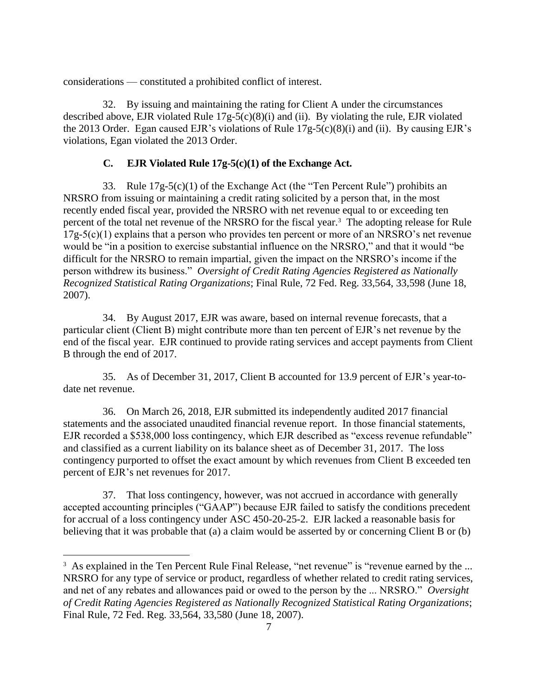considerations — constituted a prohibited conflict of interest.

32. By issuing and maintaining the rating for Client A under the circumstances described above, EJR violated Rule 17g-5(c)(8)(i) and (ii). By violating the rule, EJR violated the 2013 Order. Egan caused EJR's violations of Rule 17g-5(c)(8)(i) and (ii). By causing EJR's violations, Egan violated the 2013 Order.

## **C. EJR Violated Rule 17g-5(c)(1) of the Exchange Act.**

33. Rule 17g-5(c)(1) of the Exchange Act (the "Ten Percent Rule") prohibits an NRSRO from issuing or maintaining a credit rating solicited by a person that, in the most recently ended fiscal year, provided the NRSRO with net revenue equal to or exceeding ten percent of the total net revenue of the NRSRO for the fiscal year.<sup>3</sup> The adopting release for Rule  $17g-5(c)(1)$  explains that a person who provides ten percent or more of an NRSRO's net revenue would be "in a position to exercise substantial influence on the NRSRO," and that it would "be difficult for the NRSRO to remain impartial, given the impact on the NRSRO's income if the person withdrew its business." *Oversight of Credit Rating Agencies Registered as Nationally Recognized Statistical Rating Organizations*; Final Rule, 72 Fed. Reg. 33,564, 33,598 (June 18, 2007).

34. By August 2017, EJR was aware, based on internal revenue forecasts, that a particular client (Client B) might contribute more than ten percent of EJR's net revenue by the end of the fiscal year. EJR continued to provide rating services and accept payments from Client B through the end of 2017.

35. As of December 31, 2017, Client B accounted for 13.9 percent of EJR's year-todate net revenue.

36. On March 26, 2018, EJR submitted its independently audited 2017 financial statements and the associated unaudited financial revenue report. In those financial statements, EJR recorded a \$538,000 loss contingency, which EJR described as "excess revenue refundable" and classified as a current liability on its balance sheet as of December 31, 2017. The loss contingency purported to offset the exact amount by which revenues from Client B exceeded ten percent of EJR's net revenues for 2017.

37. That loss contingency, however, was not accrued in accordance with generally accepted accounting principles ("GAAP") because EJR failed to satisfy the conditions precedent for accrual of a loss contingency under ASC 450-20-25-2. EJR lacked a reasonable basis for believing that it was probable that (a) a claim would be asserted by or concerning Client B or (b)

 $\overline{a}$ 

 $3\text{ A}s$  explained in the Ten Percent Rule Final Release, "net revenue" is "revenue earned by the ... NRSRO for any type of service or product, regardless of whether related to credit rating services, and net of any rebates and allowances paid or owed to the person by the ... NRSRO." *Oversight of Credit Rating Agencies Registered as Nationally Recognized Statistical Rating Organizations*; Final Rule, 72 Fed. Reg. 33,564, 33,580 (June 18, 2007).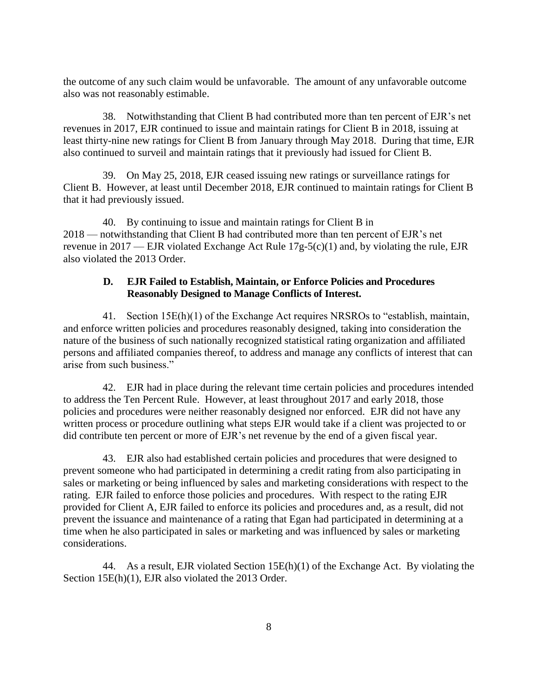the outcome of any such claim would be unfavorable. The amount of any unfavorable outcome also was not reasonably estimable.

38. Notwithstanding that Client B had contributed more than ten percent of EJR's net revenues in 2017, EJR continued to issue and maintain ratings for Client B in 2018, issuing at least thirty-nine new ratings for Client B from January through May 2018. During that time, EJR also continued to surveil and maintain ratings that it previously had issued for Client B.

39. On May 25, 2018, EJR ceased issuing new ratings or surveillance ratings for Client B. However, at least until December 2018, EJR continued to maintain ratings for Client B that it had previously issued.

40. By continuing to issue and maintain ratings for Client B in 2018 — notwithstanding that Client B had contributed more than ten percent of EJR's net revenue in 2017 — EJR violated Exchange Act Rule  $17g-5(c)(1)$  and, by violating the rule, EJR also violated the 2013 Order.

## **D. EJR Failed to Establish, Maintain, or Enforce Policies and Procedures Reasonably Designed to Manage Conflicts of Interest.**

41. Section 15E(h)(1) of the Exchange Act requires NRSROs to "establish, maintain, and enforce written policies and procedures reasonably designed, taking into consideration the nature of the business of such nationally recognized statistical rating organization and affiliated persons and affiliated companies thereof, to address and manage any conflicts of interest that can arise from such business."

42. EJR had in place during the relevant time certain policies and procedures intended to address the Ten Percent Rule. However, at least throughout 2017 and early 2018, those policies and procedures were neither reasonably designed nor enforced. EJR did not have any written process or procedure outlining what steps EJR would take if a client was projected to or did contribute ten percent or more of EJR's net revenue by the end of a given fiscal year.

43. EJR also had established certain policies and procedures that were designed to prevent someone who had participated in determining a credit rating from also participating in sales or marketing or being influenced by sales and marketing considerations with respect to the rating. EJR failed to enforce those policies and procedures. With respect to the rating EJR provided for Client A, EJR failed to enforce its policies and procedures and, as a result, did not prevent the issuance and maintenance of a rating that Egan had participated in determining at a time when he also participated in sales or marketing and was influenced by sales or marketing considerations.

44. As a result, EJR violated Section 15E(h)(1) of the Exchange Act. By violating the Section 15E(h)(1), EJR also violated the 2013 Order.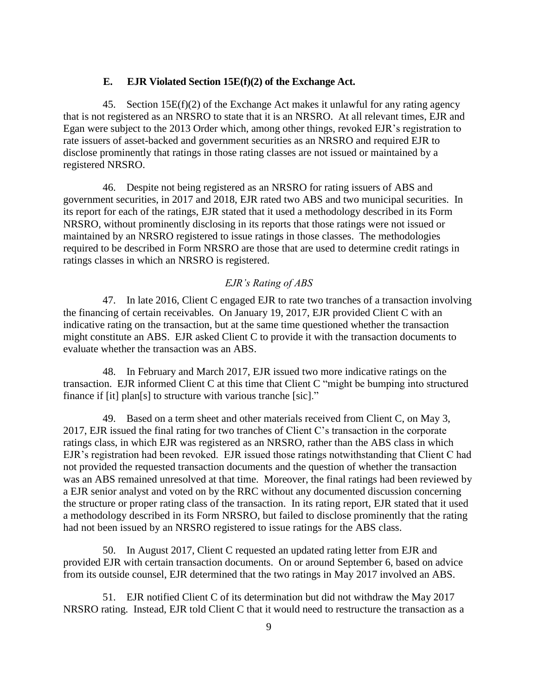### **E. EJR Violated Section 15E(f)(2) of the Exchange Act.**

45. Section  $15E(f)(2)$  of the Exchange Act makes it unlawful for any rating agency that is not registered as an NRSRO to state that it is an NRSRO. At all relevant times, EJR and Egan were subject to the 2013 Order which, among other things, revoked EJR's registration to rate issuers of asset-backed and government securities as an NRSRO and required EJR to disclose prominently that ratings in those rating classes are not issued or maintained by a registered NRSRO.

46. Despite not being registered as an NRSRO for rating issuers of ABS and government securities, in 2017 and 2018, EJR rated two ABS and two municipal securities. In its report for each of the ratings, EJR stated that it used a methodology described in its Form NRSRO, without prominently disclosing in its reports that those ratings were not issued or maintained by an NRSRO registered to issue ratings in those classes. The methodologies required to be described in Form NRSRO are those that are used to determine credit ratings in ratings classes in which an NRSRO is registered.

#### *EJR's Rating of ABS*

47. In late 2016, Client C engaged EJR to rate two tranches of a transaction involving the financing of certain receivables. On January 19, 2017, EJR provided Client C with an indicative rating on the transaction, but at the same time questioned whether the transaction might constitute an ABS. EJR asked Client C to provide it with the transaction documents to evaluate whether the transaction was an ABS.

48. In February and March 2017, EJR issued two more indicative ratings on the transaction. EJR informed Client C at this time that Client C "might be bumping into structured finance if [it] plan[s] to structure with various tranche [sic]."

49. Based on a term sheet and other materials received from Client C, on May 3, 2017, EJR issued the final rating for two tranches of Client C's transaction in the corporate ratings class, in which EJR was registered as an NRSRO, rather than the ABS class in which EJR's registration had been revoked. EJR issued those ratings notwithstanding that Client C had not provided the requested transaction documents and the question of whether the transaction was an ABS remained unresolved at that time. Moreover, the final ratings had been reviewed by a EJR senior analyst and voted on by the RRC without any documented discussion concerning the structure or proper rating class of the transaction. In its rating report, EJR stated that it used a methodology described in its Form NRSRO, but failed to disclose prominently that the rating had not been issued by an NRSRO registered to issue ratings for the ABS class.

50. In August 2017, Client C requested an updated rating letter from EJR and provided EJR with certain transaction documents. On or around September 6, based on advice from its outside counsel, EJR determined that the two ratings in May 2017 involved an ABS.

51. EJR notified Client C of its determination but did not withdraw the May 2017 NRSRO rating. Instead, EJR told Client C that it would need to restructure the transaction as a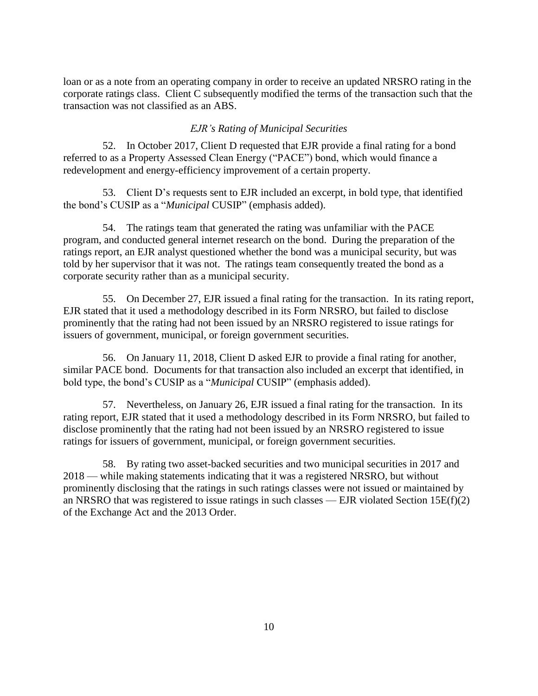loan or as a note from an operating company in order to receive an updated NRSRO rating in the corporate ratings class. Client C subsequently modified the terms of the transaction such that the transaction was not classified as an ABS.

#### *EJR's Rating of Municipal Securities*

52. In October 2017, Client D requested that EJR provide a final rating for a bond referred to as a Property Assessed Clean Energy ("PACE") bond, which would finance a redevelopment and energy-efficiency improvement of a certain property.

53. Client D's requests sent to EJR included an excerpt, in bold type, that identified the bond's CUSIP as a "*Municipal* CUSIP" (emphasis added).

54. The ratings team that generated the rating was unfamiliar with the PACE program, and conducted general internet research on the bond. During the preparation of the ratings report, an EJR analyst questioned whether the bond was a municipal security, but was told by her supervisor that it was not. The ratings team consequently treated the bond as a corporate security rather than as a municipal security.

55. On December 27, EJR issued a final rating for the transaction. In its rating report, EJR stated that it used a methodology described in its Form NRSRO, but failed to disclose prominently that the rating had not been issued by an NRSRO registered to issue ratings for issuers of government, municipal, or foreign government securities.

56. On January 11, 2018, Client D asked EJR to provide a final rating for another, similar PACE bond. Documents for that transaction also included an excerpt that identified, in bold type, the bond's CUSIP as a "*Municipal* CUSIP" (emphasis added).

57. Nevertheless, on January 26, EJR issued a final rating for the transaction. In its rating report, EJR stated that it used a methodology described in its Form NRSRO, but failed to disclose prominently that the rating had not been issued by an NRSRO registered to issue ratings for issuers of government, municipal, or foreign government securities.

58. By rating two asset-backed securities and two municipal securities in 2017 and 2018 — while making statements indicating that it was a registered NRSRO, but without prominently disclosing that the ratings in such ratings classes were not issued or maintained by an NRSRO that was registered to issue ratings in such classes — EJR violated Section 15E(f)(2) of the Exchange Act and the 2013 Order.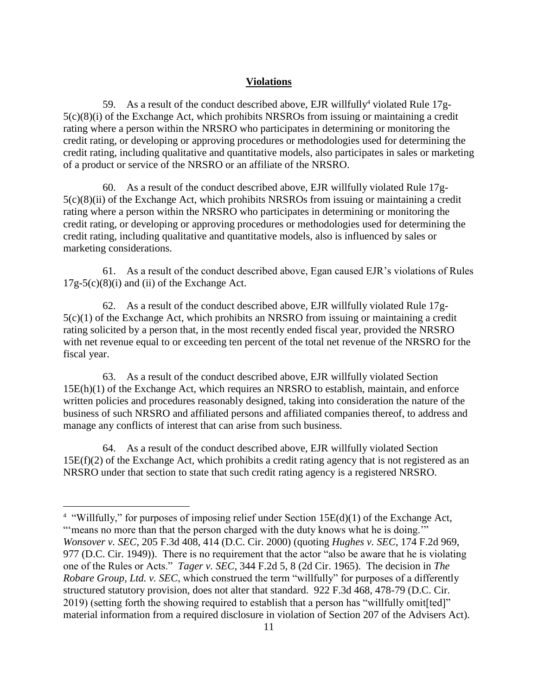## **Violations**

59. As a result of the conduct described above, EJR willfully<sup>4</sup> violated Rule 17g-5(c)(8)(i) of the Exchange Act, which prohibits NRSROs from issuing or maintaining a credit rating where a person within the NRSRO who participates in determining or monitoring the credit rating, or developing or approving procedures or methodologies used for determining the credit rating, including qualitative and quantitative models, also participates in sales or marketing of a product or service of the NRSRO or an affiliate of the NRSRO.

60. As a result of the conduct described above, EJR willfully violated Rule 17g- $5(c)(8)(ii)$  of the Exchange Act, which prohibits NRSROs from issuing or maintaining a credit rating where a person within the NRSRO who participates in determining or monitoring the credit rating, or developing or approving procedures or methodologies used for determining the credit rating, including qualitative and quantitative models, also is influenced by sales or marketing considerations.

61. As a result of the conduct described above, Egan caused EJR's violations of Rules  $17g-5(c)(8)(i)$  and (ii) of the Exchange Act.

62. As a result of the conduct described above, EJR willfully violated Rule 17g-5(c)(1) of the Exchange Act, which prohibits an NRSRO from issuing or maintaining a credit rating solicited by a person that, in the most recently ended fiscal year, provided the NRSRO with net revenue equal to or exceeding ten percent of the total net revenue of the NRSRO for the fiscal year.

63. As a result of the conduct described above, EJR willfully violated Section 15E(h)(1) of the Exchange Act, which requires an NRSRO to establish, maintain, and enforce written policies and procedures reasonably designed, taking into consideration the nature of the business of such NRSRO and affiliated persons and affiliated companies thereof, to address and manage any conflicts of interest that can arise from such business.

64. As a result of the conduct described above, EJR willfully violated Section 15E(f)(2) of the Exchange Act, which prohibits a credit rating agency that is not registered as an NRSRO under that section to state that such credit rating agency is a registered NRSRO.

 $\overline{a}$ 

<sup>&</sup>lt;sup>4</sup> "Willfully," for purposes of imposing relief under Section 15E(d)(1) of the Exchange Act,

<sup>&</sup>quot;'means no more than that the person charged with the duty knows what he is doing." *Wonsover v. SEC*, 205 F.3d 408, 414 (D.C. Cir. 2000) (quoting *Hughes v. SEC*, 174 F.2d 969, 977 (D.C. Cir. 1949)). There is no requirement that the actor "also be aware that he is violating one of the Rules or Acts." *Tager v. SEC*, 344 F.2d 5, 8 (2d Cir. 1965). The decision in *The Robare Group, Ltd. v. SEC*, which construed the term "willfully" for purposes of a differently structured statutory provision, does not alter that standard. 922 F.3d 468, 478-79 (D.C. Cir. 2019) (setting forth the showing required to establish that a person has "willfully omit[ted]" material information from a required disclosure in violation of Section 207 of the Advisers Act).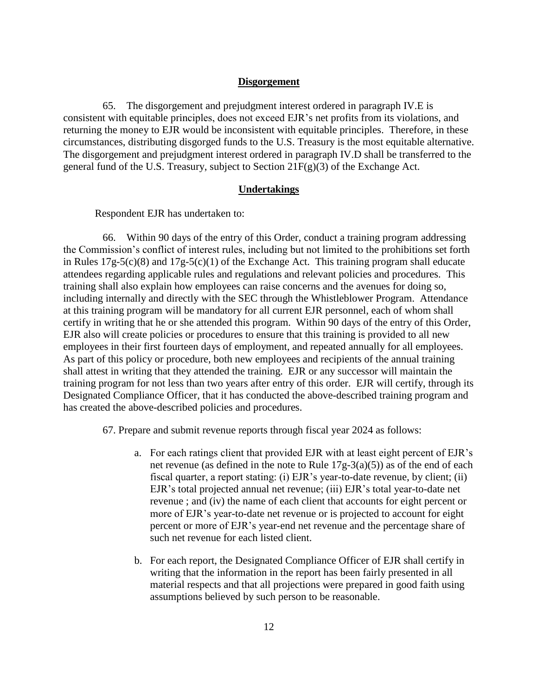#### **Disgorgement**

65. The disgorgement and prejudgment interest ordered in paragraph IV.E is consistent with equitable principles, does not exceed EJR's net profits from its violations, and returning the money to EJR would be inconsistent with equitable principles. Therefore, in these circumstances, distributing disgorged funds to the U.S. Treasury is the most equitable alternative. The disgorgement and prejudgment interest ordered in paragraph IV.D shall be transferred to the general fund of the U.S. Treasury, subject to Section  $21F(g)(3)$  of the Exchange Act.

#### **Undertakings**

Respondent EJR has undertaken to:

66. Within 90 days of the entry of this Order, conduct a training program addressing the Commission's conflict of interest rules, including but not limited to the prohibitions set forth in Rules 17g-5(c)(8) and 17g-5(c)(1) of the Exchange Act. This training program shall educate attendees regarding applicable rules and regulations and relevant policies and procedures. This training shall also explain how employees can raise concerns and the avenues for doing so, including internally and directly with the SEC through the Whistleblower Program. Attendance at this training program will be mandatory for all current EJR personnel, each of whom shall certify in writing that he or she attended this program. Within 90 days of the entry of this Order, EJR also will create policies or procedures to ensure that this training is provided to all new employees in their first fourteen days of employment, and repeated annually for all employees. As part of this policy or procedure, both new employees and recipients of the annual training shall attest in writing that they attended the training. EJR or any successor will maintain the training program for not less than two years after entry of this order. EJR will certify, through its Designated Compliance Officer, that it has conducted the above-described training program and has created the above-described policies and procedures.

67. Prepare and submit revenue reports through fiscal year 2024 as follows:

- a. For each ratings client that provided EJR with at least eight percent of EJR's net revenue (as defined in the note to Rule 17g-3(a)(5)) as of the end of each fiscal quarter, a report stating: (i) EJR's year-to-date revenue, by client; (ii) EJR's total projected annual net revenue; (iii) EJR's total year-to-date net revenue ; and (iv) the name of each client that accounts for eight percent or more of EJR's year-to-date net revenue or is projected to account for eight percent or more of EJR's year-end net revenue and the percentage share of such net revenue for each listed client.
- b. For each report, the Designated Compliance Officer of EJR shall certify in writing that the information in the report has been fairly presented in all material respects and that all projections were prepared in good faith using assumptions believed by such person to be reasonable.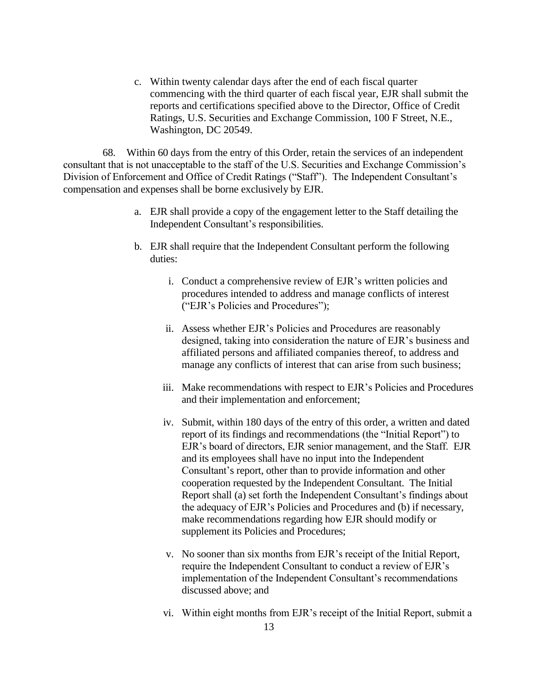c. Within twenty calendar days after the end of each fiscal quarter commencing with the third quarter of each fiscal year, EJR shall submit the reports and certifications specified above to the Director, Office of Credit Ratings, U.S. Securities and Exchange Commission, 100 F Street, N.E., Washington, DC 20549.

68. Within 60 days from the entry of this Order, retain the services of an independent consultant that is not unacceptable to the staff of the U.S. Securities and Exchange Commission's Division of Enforcement and Office of Credit Ratings ("Staff"). The Independent Consultant's compensation and expenses shall be borne exclusively by EJR.

- a. EJR shall provide a copy of the engagement letter to the Staff detailing the Independent Consultant's responsibilities.
- b. EJR shall require that the Independent Consultant perform the following duties:
	- i. Conduct a comprehensive review of EJR's written policies and procedures intended to address and manage conflicts of interest ("EJR's Policies and Procedures");
	- ii. Assess whether EJR's Policies and Procedures are reasonably designed, taking into consideration the nature of EJR's business and affiliated persons and affiliated companies thereof, to address and manage any conflicts of interest that can arise from such business;
	- iii. Make recommendations with respect to EJR's Policies and Procedures and their implementation and enforcement;
	- iv. Submit, within 180 days of the entry of this order, a written and dated report of its findings and recommendations (the "Initial Report") to EJR's board of directors, EJR senior management, and the Staff. EJR and its employees shall have no input into the Independent Consultant's report, other than to provide information and other cooperation requested by the Independent Consultant. The Initial Report shall (a) set forth the Independent Consultant's findings about the adequacy of EJR's Policies and Procedures and (b) if necessary, make recommendations regarding how EJR should modify or supplement its Policies and Procedures;
	- v. No sooner than six months from EJR's receipt of the Initial Report, require the Independent Consultant to conduct a review of EJR's implementation of the Independent Consultant's recommendations discussed above; and
	- vi. Within eight months from EJR's receipt of the Initial Report, submit a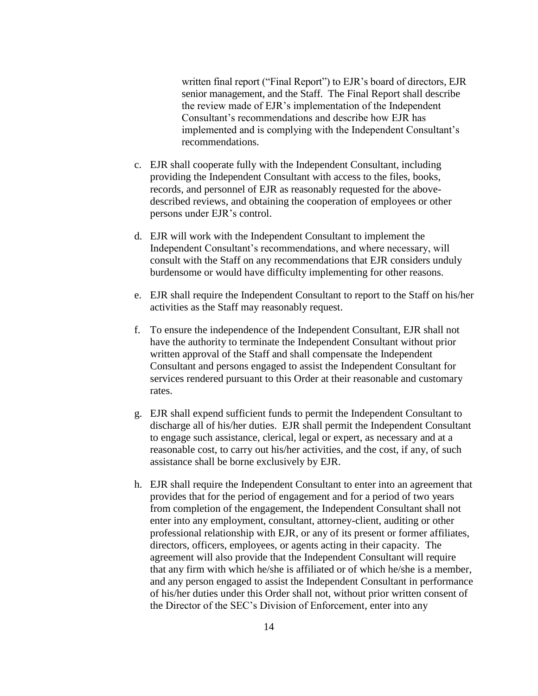written final report ("Final Report") to EJR's board of directors, EJR senior management, and the Staff. The Final Report shall describe the review made of EJR's implementation of the Independent Consultant's recommendations and describe how EJR has implemented and is complying with the Independent Consultant's recommendations.

- c. EJR shall cooperate fully with the Independent Consultant, including providing the Independent Consultant with access to the files, books, records, and personnel of EJR as reasonably requested for the abovedescribed reviews, and obtaining the cooperation of employees or other persons under EJR's control.
- d. EJR will work with the Independent Consultant to implement the Independent Consultant's recommendations, and where necessary, will consult with the Staff on any recommendations that EJR considers unduly burdensome or would have difficulty implementing for other reasons.
- e. EJR shall require the Independent Consultant to report to the Staff on his/her activities as the Staff may reasonably request.
- f. To ensure the independence of the Independent Consultant, EJR shall not have the authority to terminate the Independent Consultant without prior written approval of the Staff and shall compensate the Independent Consultant and persons engaged to assist the Independent Consultant for services rendered pursuant to this Order at their reasonable and customary rates.
- g. EJR shall expend sufficient funds to permit the Independent Consultant to discharge all of his/her duties. EJR shall permit the Independent Consultant to engage such assistance, clerical, legal or expert, as necessary and at a reasonable cost, to carry out his/her activities, and the cost, if any, of such assistance shall be borne exclusively by EJR.
- h. EJR shall require the Independent Consultant to enter into an agreement that provides that for the period of engagement and for a period of two years from completion of the engagement, the Independent Consultant shall not enter into any employment, consultant, attorney-client, auditing or other professional relationship with EJR, or any of its present or former affiliates, directors, officers, employees, or agents acting in their capacity. The agreement will also provide that the Independent Consultant will require that any firm with which he/she is affiliated or of which he/she is a member, and any person engaged to assist the Independent Consultant in performance of his/her duties under this Order shall not, without prior written consent of the Director of the SEC's Division of Enforcement, enter into any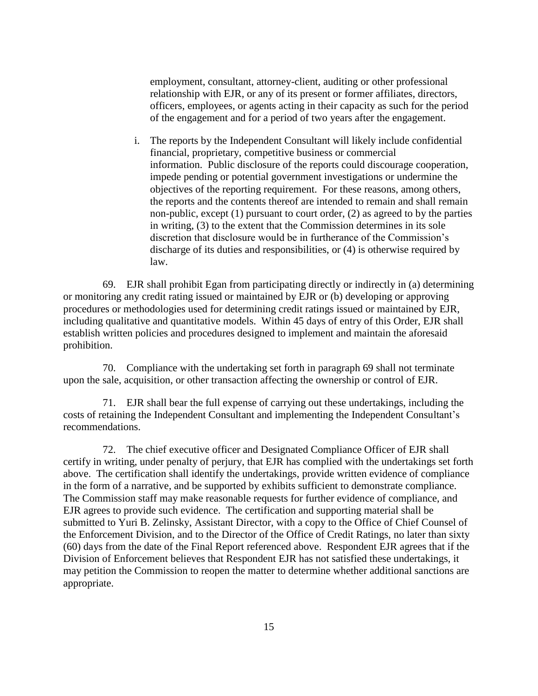employment, consultant, attorney-client, auditing or other professional relationship with EJR, or any of its present or former affiliates, directors, officers, employees, or agents acting in their capacity as such for the period of the engagement and for a period of two years after the engagement.

i. The reports by the Independent Consultant will likely include confidential financial, proprietary, competitive business or commercial information. Public disclosure of the reports could discourage cooperation, impede pending or potential government investigations or undermine the objectives of the reporting requirement. For these reasons, among others, the reports and the contents thereof are intended to remain and shall remain non-public, except (1) pursuant to court order, (2) as agreed to by the parties in writing, (3) to the extent that the Commission determines in its sole discretion that disclosure would be in furtherance of the Commission's discharge of its duties and responsibilities, or (4) is otherwise required by law.

69. EJR shall prohibit Egan from participating directly or indirectly in (a) determining or monitoring any credit rating issued or maintained by EJR or (b) developing or approving procedures or methodologies used for determining credit ratings issued or maintained by EJR, including qualitative and quantitative models. Within 45 days of entry of this Order, EJR shall establish written policies and procedures designed to implement and maintain the aforesaid prohibition.

70. Compliance with the undertaking set forth in paragraph 69 shall not terminate upon the sale, acquisition, or other transaction affecting the ownership or control of EJR.

71. EJR shall bear the full expense of carrying out these undertakings, including the costs of retaining the Independent Consultant and implementing the Independent Consultant's recommendations.

72. The chief executive officer and Designated Compliance Officer of EJR shall certify in writing, under penalty of perjury, that EJR has complied with the undertakings set forth above. The certification shall identify the undertakings, provide written evidence of compliance in the form of a narrative, and be supported by exhibits sufficient to demonstrate compliance. The Commission staff may make reasonable requests for further evidence of compliance, and EJR agrees to provide such evidence. The certification and supporting material shall be submitted to Yuri B. Zelinsky, Assistant Director, with a copy to the Office of Chief Counsel of the Enforcement Division, and to the Director of the Office of Credit Ratings, no later than sixty (60) days from the date of the Final Report referenced above. Respondent EJR agrees that if the Division of Enforcement believes that Respondent EJR has not satisfied these undertakings, it may petition the Commission to reopen the matter to determine whether additional sanctions are appropriate.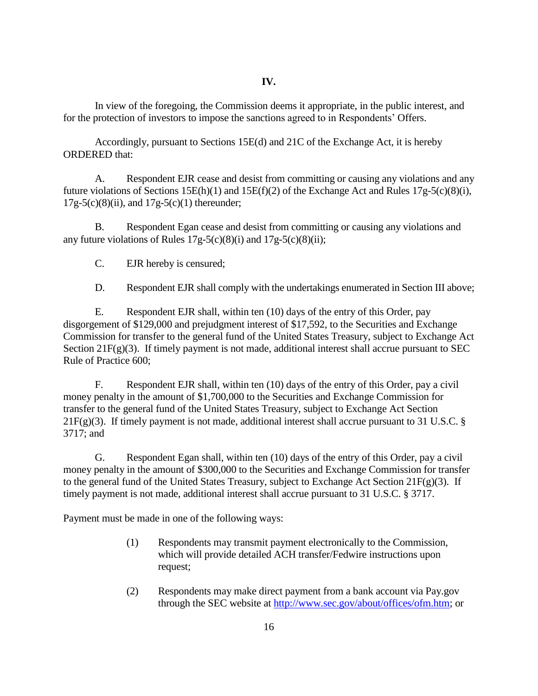In view of the foregoing, the Commission deems it appropriate, in the public interest, and for the protection of investors to impose the sanctions agreed to in Respondents' Offers.

Accordingly, pursuant to Sections 15E(d) and 21C of the Exchange Act, it is hereby ORDERED that:

A. Respondent EJR cease and desist from committing or causing any violations and any future violations of Sections 15E(h)(1) and 15E(f)(2) of the Exchange Act and Rules 17g-5(c)(8)(i),  $17g-5(c)(8)(ii)$ , and  $17g-5(c)(1)$  thereunder;

B. Respondent Egan cease and desist from committing or causing any violations and any future violations of Rules 17g-5(c)(8)(i) and 17g-5(c)(8)(ii);

C. EJR hereby is censured;

D. Respondent EJR shall comply with the undertakings enumerated in Section III above;

E. Respondent EJR shall, within ten (10) days of the entry of this Order, pay disgorgement of \$129,000 and prejudgment interest of \$17,592, to the Securities and Exchange Commission for transfer to the general fund of the United States Treasury, subject to Exchange Act Section 21 $F(g)(3)$ . If timely payment is not made, additional interest shall accrue pursuant to SEC Rule of Practice 600;

F. Respondent EJR shall, within ten (10) days of the entry of this Order, pay a civil money penalty in the amount of \$1,700,000 to the Securities and Exchange Commission for transfer to the general fund of the United States Treasury, subject to Exchange Act Section  $21F(g)(3)$ . If timely payment is not made, additional interest shall accrue pursuant to 31 U.S.C. § 3717; and

G. Respondent Egan shall, within ten (10) days of the entry of this Order, pay a civil money penalty in the amount of \$300,000 to the Securities and Exchange Commission for transfer to the general fund of the United States Treasury, subject to Exchange Act Section 21F(g)(3). If timely payment is not made, additional interest shall accrue pursuant to 31 U.S.C. § 3717.

Payment must be made in one of the following ways:

- (1) Respondents may transmit payment electronically to the Commission, which will provide detailed ACH transfer/Fedwire instructions upon request;
- (2) Respondents may make direct payment from a bank account via Pay.gov through the SEC website at [http://www.sec.gov/about/offices/ofm.htm;](http://www.sec.gov/about/offices/ofm.htm) or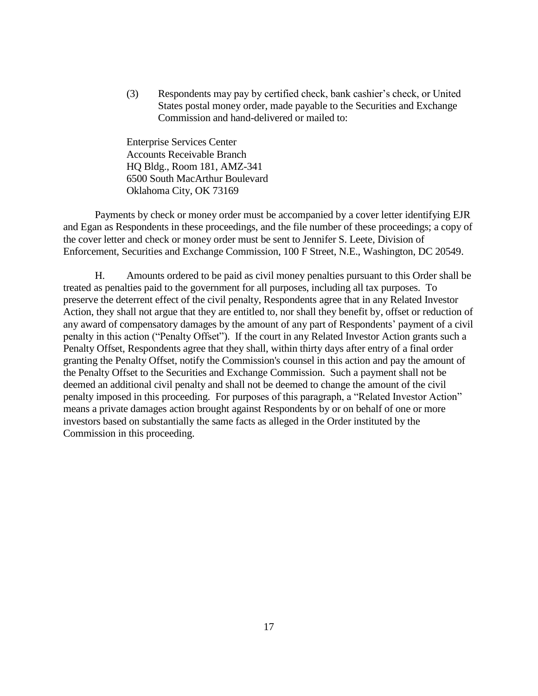(3) Respondents may pay by certified check, bank cashier's check, or United States postal money order, made payable to the Securities and Exchange Commission and hand-delivered or mailed to:

Enterprise Services Center Accounts Receivable Branch HQ Bldg., Room 181, AMZ-341 6500 South MacArthur Boulevard Oklahoma City, OK 73169

Payments by check or money order must be accompanied by a cover letter identifying EJR and Egan as Respondents in these proceedings, and the file number of these proceedings; a copy of the cover letter and check or money order must be sent to Jennifer S. Leete, Division of Enforcement, Securities and Exchange Commission, 100 F Street, N.E., Washington, DC 20549.

H. Amounts ordered to be paid as civil money penalties pursuant to this Order shall be treated as penalties paid to the government for all purposes, including all tax purposes. To preserve the deterrent effect of the civil penalty, Respondents agree that in any Related Investor Action, they shall not argue that they are entitled to, nor shall they benefit by, offset or reduction of any award of compensatory damages by the amount of any part of Respondents' payment of a civil penalty in this action ("Penalty Offset"). If the court in any Related Investor Action grants such a Penalty Offset, Respondents agree that they shall, within thirty days after entry of a final order granting the Penalty Offset, notify the Commission's counsel in this action and pay the amount of the Penalty Offset to the Securities and Exchange Commission. Such a payment shall not be deemed an additional civil penalty and shall not be deemed to change the amount of the civil penalty imposed in this proceeding. For purposes of this paragraph, a "Related Investor Action" means a private damages action brought against Respondents by or on behalf of one or more investors based on substantially the same facts as alleged in the Order instituted by the Commission in this proceeding.